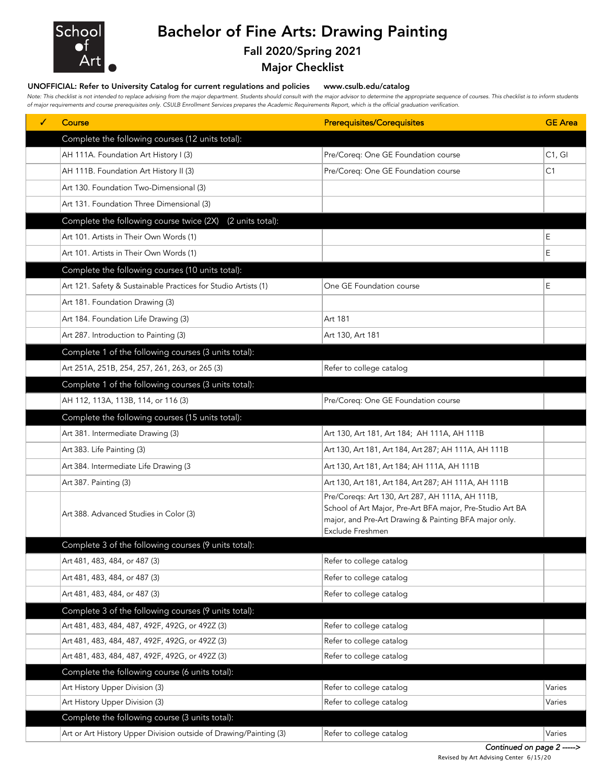

## Bachelor of Fine Arts: Drawing Painting

## Fall 2020/Spring 2021

Major Checklist

## UNOFFICIAL: Refer to University Catalog for current regulations and policies www.csulb.edu/catalog

Note: This checklist is not intended to replace advising from the major department. Students should consult with the major advisor to determine the appropriate sequence of courses. This checklist is to inform students *of major requirements and course prerequisites only. CSULB Enrollment Services prepares the Academic Requirements Report, which is the official graduation verification.*

| ✓ | Course                                                            | <b>Prerequisites/Corequisites</b>                                                                                                                                                         | <b>GE</b> Area |
|---|-------------------------------------------------------------------|-------------------------------------------------------------------------------------------------------------------------------------------------------------------------------------------|----------------|
|   | Complete the following courses (12 units total):                  |                                                                                                                                                                                           |                |
|   | AH 111A. Foundation Art History I (3)                             | Pre/Coreq: One GE Foundation course                                                                                                                                                       | C1, G1         |
|   | AH 111B. Foundation Art History II (3)                            | Pre/Coreq: One GE Foundation course                                                                                                                                                       | C1             |
|   | Art 130. Foundation Two-Dimensional (3)                           |                                                                                                                                                                                           |                |
|   | Art 131. Foundation Three Dimensional (3)                         |                                                                                                                                                                                           |                |
|   | Complete the following course twice (2X)<br>(2 units total):      |                                                                                                                                                                                           |                |
|   | Art 101. Artists in Their Own Words (1)                           |                                                                                                                                                                                           | E              |
|   | Art 101. Artists in Their Own Words (1)                           |                                                                                                                                                                                           | E              |
|   | Complete the following courses (10 units total):                  |                                                                                                                                                                                           |                |
|   | Art 121. Safety & Sustainable Practices for Studio Artists (1)    | One GE Foundation course                                                                                                                                                                  | E              |
|   | Art 181. Foundation Drawing (3)                                   |                                                                                                                                                                                           |                |
|   | Art 184. Foundation Life Drawing (3)                              | Art 181                                                                                                                                                                                   |                |
|   | Art 287. Introduction to Painting (3)                             | Art 130, Art 181                                                                                                                                                                          |                |
|   | Complete 1 of the following courses (3 units total):              |                                                                                                                                                                                           |                |
|   | Art 251A, 251B, 254, 257, 261, 263, or 265 (3)                    | Refer to college catalog                                                                                                                                                                  |                |
|   | Complete 1 of the following courses (3 units total):              |                                                                                                                                                                                           |                |
|   | AH 112, 113A, 113B, 114, or 116 (3)                               | Pre/Coreq: One GE Foundation course                                                                                                                                                       |                |
|   | Complete the following courses (15 units total):                  |                                                                                                                                                                                           |                |
|   | Art 381. Intermediate Drawing (3)                                 | Art 130, Art 181, Art 184; AH 111A, AH 111B                                                                                                                                               |                |
|   | Art 383. Life Painting (3)                                        | Art 130, Art 181, Art 184, Art 287; AH 111A, AH 111B                                                                                                                                      |                |
|   | Art 384. Intermediate Life Drawing (3                             | Art 130, Art 181, Art 184; AH 111A, AH 111B                                                                                                                                               |                |
|   | Art 387. Painting (3)                                             | Art 130, Art 181, Art 184, Art 287; AH 111A, AH 111B                                                                                                                                      |                |
|   | Art 388. Advanced Studies in Color (3)                            | Pre/Coreqs: Art 130, Art 287, AH 111A, AH 111B,<br>School of Art Major, Pre-Art BFA major, Pre-Studio Art BA<br>major, and Pre-Art Drawing & Painting BFA major only.<br>Exclude Freshmen |                |
|   | Complete 3 of the following courses (9 units total):              |                                                                                                                                                                                           |                |
|   | Art 481, 483, 484, or 487 (3)                                     | Refer to college catalog                                                                                                                                                                  |                |
|   | Art 481, 483, 484, or 487 (3)                                     | Refer to college catalog                                                                                                                                                                  |                |
|   | Art 481, 483, 484, or 487 (3)                                     | Refer to college catalog                                                                                                                                                                  |                |
|   | Complete 3 of the following courses (9 units total):              |                                                                                                                                                                                           |                |
|   | Art 481, 483, 484, 487, 492F, 492G, or 492Z (3)                   | Refer to college catalog                                                                                                                                                                  |                |
|   | Art 481, 483, 484, 487, 492F, 492G, or 492Z (3)                   | Refer to college catalog                                                                                                                                                                  |                |
|   | Art 481, 483, 484, 487, 492F, 492G, or 492Z (3)                   | Refer to college catalog                                                                                                                                                                  |                |
|   | Complete the following course (6 units total):                    |                                                                                                                                                                                           |                |
|   | Art History Upper Division (3)                                    | Refer to college catalog                                                                                                                                                                  | Varies         |
|   | Art History Upper Division (3)                                    | Refer to college catalog                                                                                                                                                                  | Varies         |
|   | Complete the following course (3 units total):                    |                                                                                                                                                                                           |                |
|   | Art or Art History Upper Division outside of Drawing/Painting (3) | Refer to college catalog                                                                                                                                                                  | Varies         |